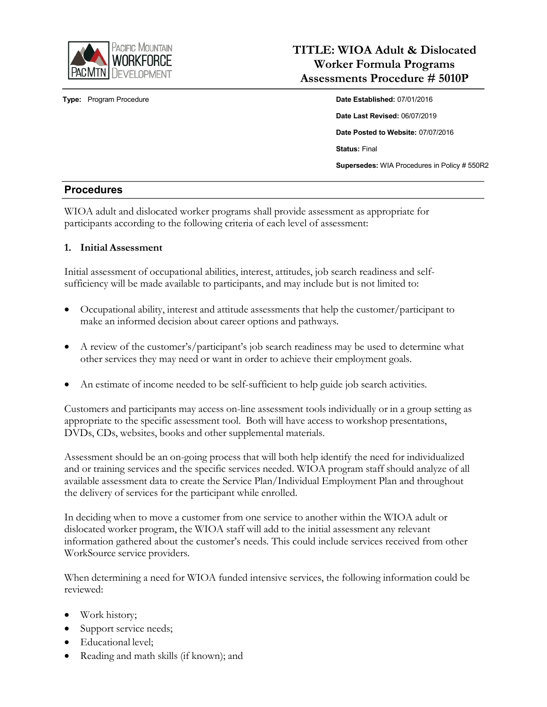

**Type:** Program Procedure **Date Date Established:** 07/01/2016

# **TITLE: WIOA Adult & Dislocated Worker Formula Programs Assessments Procedure # 5010P**

**Date Last Revised:** 06/07/2019 **Date Posted to Website:** 07/07/2016 **Status:** Final **Supersedes:** WIA Procedures in Policy # 550R2

### **Procedures**

WIOA adult and dislocated worker programs shall provide assessment as appropriate for participants according to the following criteria of each level of assessment:

### **1. Initial Assessment**

Initial assessment of occupational abilities, interest, attitudes, job search readiness and selfsufficiency will be made available to participants, and may include but is not limited to:

- Occupational ability, interest and attitude assessments that help the customer/participant to make an informed decision about career options and pathways.
- A review of the customer's/participant's job search readiness may be used to determine what other services they may need or want in order to achieve their employment goals.
- An estimate of income needed to be self-sufficient to help guide job search activities.

Customers and participants may access on-line assessment tools individually or in a group setting as appropriate to the specific assessment tool. Both will have access to workshop presentations, DVDs, CDs, websites, books and other supplemental materials.

Assessment should be an on-going process that will both help identify the need for individualized and or training services and the specific services needed. WIOA program staff should analyze of all available assessment data to create the Service Plan/Individual Employment Plan and throughout the delivery of services for the participant while enrolled.

In deciding when to move a customer from one service to another within the WIOA adult or dislocated worker program, the WIOA staff will add to the initial assessment any relevant information gathered about the customer's needs. This could include services received from other WorkSource service providers.

When determining a need for WIOA funded intensive services, the following information could be reviewed:

- Work history;
- Support service needs;
- Educational level;
- Reading and math skills (if known); and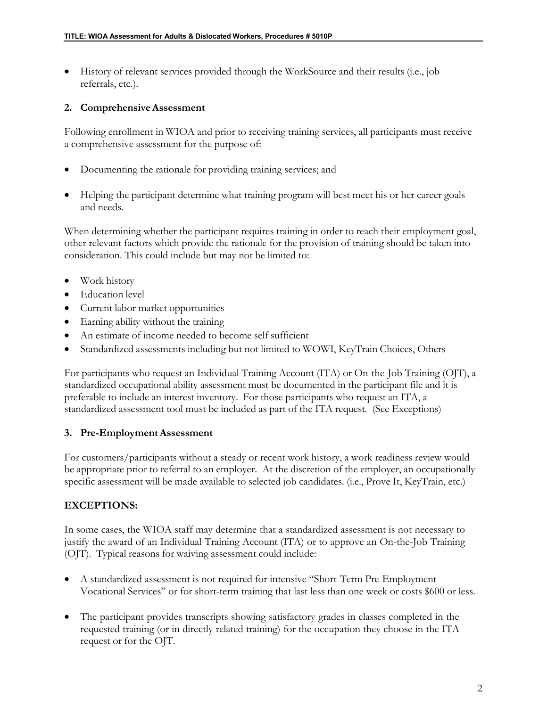• History of relevant services provided through the WorkSource and their results (i.e., job referrals, etc.).

#### **2. ComprehensiveAssessment**

Following enrollment in WIOA and prior to receiving training services, all participants must receive a comprehensive assessment for the purpose of:

- Documenting the rationale for providing training services; and
- Helping the participant determine what training program will best meet his or her career goals and needs.

When determining whether the participant requires training in order to reach their employment goal, other relevant factors which provide the rationale for the provision of training should be taken into consideration. This could include but may not be limited to:

- Work history
- Education level
- Current labor market opportunities
- Earning ability without the training
- An estimate of income needed to become self sufficient
- Standardized assessments including but not limited to WOWI, KeyTrain Choices, Others

For participants who request an Individual Training Account (ITA) or On-the-Job Training (OJT), a standardized occupational ability assessment must be documented in the participant file and it is preferable to include an interest inventory. For those participants who request an ITA, a standardized assessment tool must be included as part of the ITA request. (See Exceptions)

#### **3. Pre-EmploymentAssessment**

For customers/participants without a steady or recent work history, a work readiness review would be appropriate prior to referral to an employer. At the discretion of the employer, an occupationally specific assessment will be made available to selected job candidates. (i.e., Prove It, KeyTrain, etc.)

### **EXCEPTIONS:**

In some cases, the WIOA staff may determine that a standardized assessment is not necessary to justify the award of an Individual Training Account (ITA) or to approve an On-the-Job Training (OJT). Typical reasons for waiving assessment could include:

- A standardized assessment is not required for intensive "Short-Term Pre-Employment Vocational Services" or for short-term training that last less than one week or costs \$600 or less.
- The participant provides transcripts showing satisfactory grades in classes completed in the requested training (or in directly related training) for the occupation they choose in the ITA request or for the OJT.